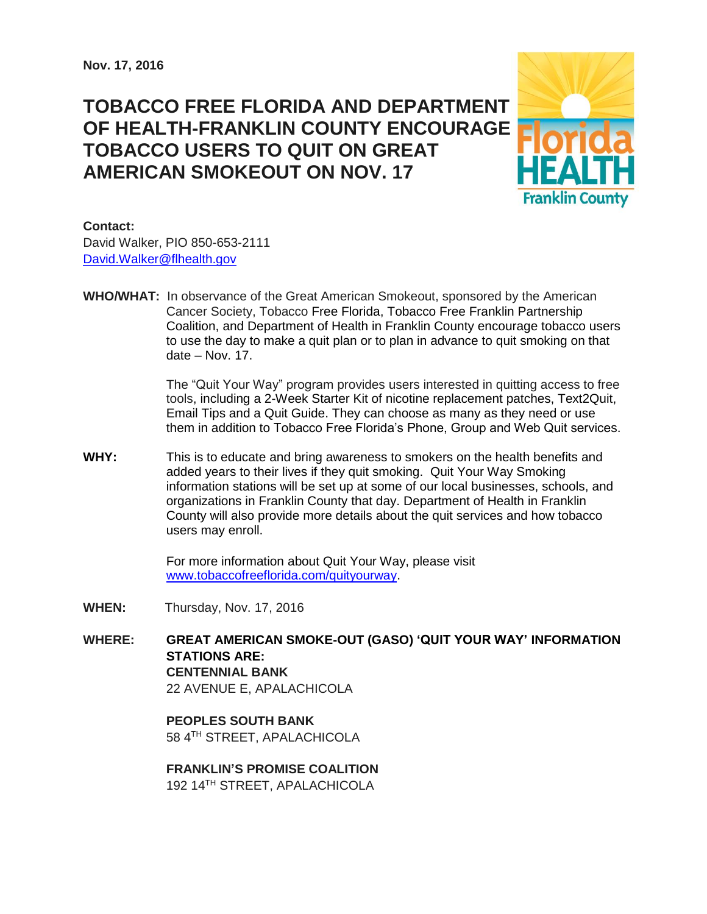# **TOBACCO FREE FLORIDA AND DEPARTMENT OF HEALTH-FRANKLIN COUNTY ENCOURAGE TOBACCO USERS TO QUIT ON GREAT AMERICAN SMOKEOUT ON NOV. 17**



## **Contact:**

David Walker, PIO 850-653-2111 [David.Walker@flhealth.gov](mailto:David.Walker@flhealth.gov)

**WHO/WHAT:** In observance of the Great American Smokeout, sponsored by the American Cancer Society, Tobacco Free Florida, Tobacco Free Franklin Partnership Coalition, and Department of Health in Franklin County encourage tobacco users to use the day to make a quit plan or to plan in advance to quit smoking on that date – Nov. 17.

> The "Quit Your Way" program provides users interested in quitting access to free tools, including a 2-Week Starter Kit of nicotine replacement patches, Text2Quit, Email Tips and a Quit Guide. They can choose as many as they need or use them in addition to Tobacco Free Florida's Phone, Group and Web Quit services.

**WHY:** This is to educate and bring awareness to smokers on the health benefits and added years to their lives if they quit smoking. Quit Your Way Smoking information stations will be set up at some of our local businesses, schools, and organizations in Franklin County that day. Department of Health in Franklin County will also provide more details about the quit services and how tobacco users may enroll.

> For more information about Quit Your Way, please visit [www.tobaccofreeflorida.com/quityourway.](http://www.tobaccofreeflorida.com/quityourway)

- **WHEN:** Thursday, Nov. 17, 2016
- **WHERE: GREAT AMERICAN SMOKE-OUT (GASO) 'QUIT YOUR WAY' INFORMATION STATIONS ARE: CENTENNIAL BANK** 22 AVENUE E, APALACHICOLA

**PEOPLES SOUTH BANK** 58 4TH STREET, APALACHICOLA

**FRANKLIN'S PROMISE COALITION** 192 14TH STREET, APALACHICOLA